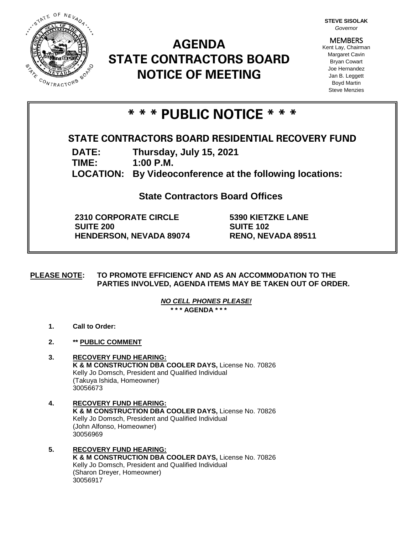

# **AGENDA STATE CONTRACTORS BOARD NOTICE OF MEETING**

**STEVE SISOLAK** *Governor*

**MEMBERS** Kent Lay, Chairman Margaret Cavin Bryan Cowart Joe Hernandez Jan B. Leggett Boyd Martin Steve Menzies

# **\* \* \* PUBLIC NOTICE \* \* \***

# **STATE CONTRACTORS BOARD RESIDENTIAL RECOVERY FUND**

**DATE: Thursday, July 15, 2021**

**TIME: 1:00 P.M.**

**LOCATION: By Videoconference at the following locations:**

**State Contractors Board Offices**

**2310 CORPORATE CIRCLE SUITE 200 HENDERSON, NEVADA 89074** **5390 KIETZKE LANE SUITE 102 RENO, NEVADA 89511**

**PLEASE NOTE: TO PROMOTE EFFICIENCY AND AS AN ACCOMMODATION TO THE PARTIES INVOLVED, AGENDA ITEMS MAY BE TAKEN OUT OF ORDER.**

> *NO CELL PHONES PLEASE!*  **\* \* \* AGENDA \* \* \***

- **1. Call to Order:**
- **2. \*\* PUBLIC COMMENT**
- **3. RECOVERY FUND HEARING: K & M CONSTRUCTION DBA COOLER DAYS,** License No. 70826 Kelly Jo Domsch, President and Qualified Individual (Takuya Ishida, Homeowner) 30056673
- **4. RECOVERY FUND HEARING: K & M CONSTRUCTION DBA COOLER DAYS,** License No. 70826 Kelly Jo Domsch, President and Qualified Individual (John Alfonso, Homeowner) 30056969
- **5. RECOVERY FUND HEARING: K & M CONSTRUCTION DBA COOLER DAYS, License No. 70826** Kelly Jo Domsch, President and Qualified Individual (Sharon Dreyer, Homeowner) 30056917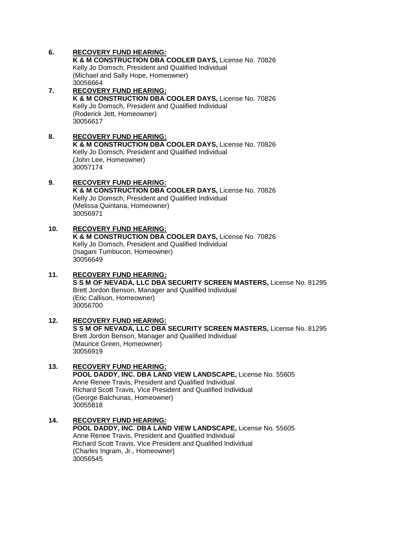### **6. RECOVERY FUND HEARING:**

**K & M CONSTRUCTION DBA COOLER DAYS,** License No. 70826 Kelly Jo Domsch, President and Qualified Individual (Michael and Sally Hope, Homeowner) 30056664

#### **7. RECOVERY FUND HEARING: K & M CONSTRUCTION DBA COOLER DAYS,** License No. 70826 Kelly Jo Domsch, President and Qualified Individual (Roderick Jett, Homeowner) 30056617

**8. RECOVERY FUND HEARING: K & M CONSTRUCTION DBA COOLER DAYS,** License No. 70826 Kelly Jo Domsch, President and Qualified Individual (John Lee, Homeowner) 30057174

#### **9. RECOVERY FUND HEARING: K & M CONSTRUCTION DBA COOLER DAYS,** License No. 70826 Kelly Jo Domsch, President and Qualified Individual (Melissa Quintana, Homeowner) 30056971

# **10. RECOVERY FUND HEARING:**

**K & M CONSTRUCTION DBA COOLER DAYS,** License No. 70826 Kelly Jo Domsch, President and Qualified Individual (Isagani Tumbucon, Homeowner) 30056649

- **11. RECOVERY FUND HEARING: S S M OF NEVADA, LLC DBA SECURITY SCREEN MASTERS,** License No. 81295 Brett Jordon Benson, Manager and Qualified Individual (Eric Callison, Homeowner) 30056700
- **12. RECOVERY FUND HEARING: S S M OF NEVADA, LLC DBA SECURITY SCREEN MASTERS,** License No. 81295 Brett Jordon Benson, Manager and Qualified Individual (Maurice Green, Homeowner) 30056919

### **13. RECOVERY FUND HEARING: POOL DADDY, INC. DBA LAND VIEW LANDSCAPE,** License No. 55605 Anne Renee Travis, President and Qualified Individual Richard Scott Travis, Vice President and Qualified Individual (George Balchunas, Homeowner) 30055818

**14. RECOVERY FUND HEARING: POOL DADDY, INC. DBA LAND VIEW LANDSCAPE,** License No. 55605 Anne Renee Travis, President and Qualified Individual Richard Scott Travis, Vice President and Qualified Individual (Charles Ingram, Jr., Homeowner) 30056545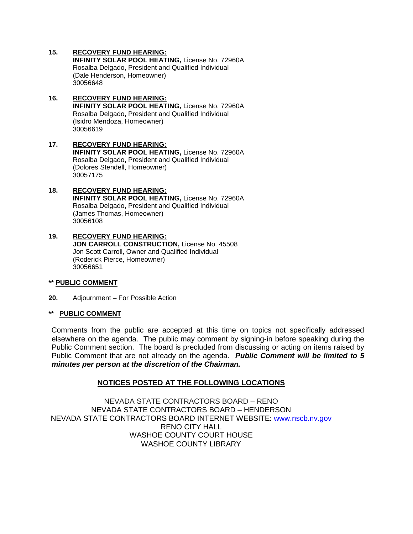# **15. RECOVERY FUND HEARING:**

**INFINITY SOLAR POOL HEATING,** License No. 72960A Rosalba Delgado, President and Qualified Individual (Dale Henderson, Homeowner) 30056648

#### **16. RECOVERY FUND HEARING: INFINITY SOLAR POOL HEATING,** License No. 72960A Rosalba Delgado, President and Qualified Individual (Isidro Mendoza, Homeowner) 30056619

#### **17. RECOVERY FUND HEARING: INFINITY SOLAR POOL HEATING,** License No. 72960A Rosalba Delgado, President and Qualified Individual (Dolores Stendell, Homeowner) 30057175

#### **18. RECOVERY FUND HEARING: INFINITY SOLAR POOL HEATING,** License No. 72960A Rosalba Delgado, President and Qualified Individual (James Thomas, Homeowner) 30056108

#### **19. RECOVERY FUND HEARING: JON CARROLL CONSTRUCTION,** License No. 45508 Jon Scott Carroll, Owner and Qualified Individual (Roderick Pierce, Homeowner) 30056651

# **\*\* PUBLIC COMMENT**

**20.** Adjournment – For Possible Action

# **\*\* PUBLIC COMMENT**

Comments from the public are accepted at this time on topics not specifically addressed elsewhere on the agenda. The public may comment by signing-in before speaking during the Public Comment section. The board is precluded from discussing or acting on items raised by Public Comment that are not already on the agenda. *Public Comment will be limited to 5 minutes per person at the discretion of the Chairman.*

# **NOTICES POSTED AT THE FOLLOWING LOCATIONS**

NEVADA STATE CONTRACTORS BOARD – RENO NEVADA STATE CONTRACTORS BOARD – HENDERSON NEVADA STATE CONTRACTORS BOARD INTERNET WEBSITE: [www.nscb.nv.gov](http://www.nscb.nv.gov/) RENO CITY HALL WASHOE COUNTY COURT HOUSE WASHOE COUNTY LIBRARY